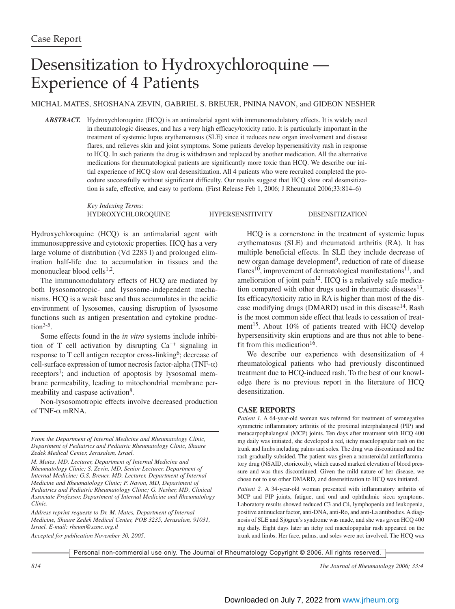## Desensitization to Hydroxychloroquine — Experience of 4 Patients

MICHAL MATES, SHOSHANA ZEVIN, GABRIEL S. BREUER, PNINA NAVON, and GIDEON NESHER

*ABSTRACT.* Hydroxychloroquine (HCQ) is an antimalarial agent with immunomodulatory effects. It is widely used in rheumatologic diseases, and has a very high efficacy/toxicity ratio. It is particularly important in the treatment of systemic lupus erythematosus (SLE) since it reduces new organ involvement and disease flares, and relieves skin and joint symptoms. Some patients develop hypersensitivity rash in response to HCQ. In such patients the drug is withdrawn and replaced by another medication. All the alternative medications for rheumatological patients are significantly more toxic than HCQ. We describe our initial experience of HCQ slow oral desensitization. All 4 patients who were recruited completed the procedure successfully without significant difficulty. Our results suggest that HCQ slow oral desensitization is safe, effective, and easy to perform. (First Release Feb 1, 2006; J Rheumatol 2006;33:814–6)

> *Key Indexing Terms:* HYDROXYCHLOROQUINE HYPERSENSITIVITY DESENSITIZATION

Hydroxychloroquine (HCQ) is an antimalarial agent with immunosuppressive and cytotoxic properties. HCQ has a very large volume of distribution (Vd 2283 l) and prolonged elimination half-life due to accumulation in tissues and the mononuclear blood cells $1,2$ .

The immunomodulatory effects of HCQ are mediated by both lysosomotropic- and lysosome-independent mechanisms. HCQ is a weak base and thus accumulates in the acidic environment of lysosomes, causing disruption of lysosome functions such as antigen presentation and cytokine production $3-5$ .

Some effects found in the *in vitro* systems include inhibition of T cell activation by disrupting  $Ca^{++}$  signaling in response to T cell antigen receptor cross-linking<sup>6</sup>; decrease of cell-surface expression of tumor necrosis factor-alpha (TNF- $\alpha$ ) receptors<sup>7</sup>; and induction of apoptosis by lysosomal membrane permeability, leading to mitochondrial membrane permeability and caspase activation<sup>8</sup>.

Non-lysosomotropic effects involve decreased production of TNF-α mRNA.

*Address reprint requests to Dr. M. Mates, Department of Internal Medicine, Shaare Zedek Medical Center, POB 3235, Jerusalem, 91031, Israel. E-mail: rheum@szmc.org.il*

*Accepted for publication November 30, 2005.*

HCQ is a cornerstone in the treatment of systemic lupus erythematosus (SLE) and rheumatoid arthritis (RA). It has multiple beneficial effects. In SLE they include decrease of new organ damage development<sup>9</sup>, reduction of rate of disease flares<sup>10</sup>, improvement of dermatological manifestations<sup>11</sup>, and amelioration of joint pain $12$ . HCQ is a relatively safe medication compared with other drugs used in rheumatic diseases $^{13}$ . Its efficacy/toxicity ratio in RA is higher than most of the disease modifying drugs (DMARD) used in this disease<sup>14</sup>. Rash is the most common side effect that leads to cessation of treatment<sup>15</sup>. About 10% of patients treated with HCQ develop hypersensitivity skin eruptions and are thus not able to benefit from this medication<sup>16</sup>.

We describe our experience with desensitization of 4 rheumatological patients who had previously discontinued treatment due to HCQ-induced rash. To the best of our knowledge there is no previous report in the literature of HCQ desensitization.

## **CASE REPORTS**

Patient 1. A 64-year-old woman was referred for treatment of seronegative symmetric inflammatory arthritis of the proximal interphalangeal (PIP) and metacarpophalangeal (MCP) joints. Ten days after treatment with HCQ 400 mg daily was initiated, she developed a red, itchy maculopapular rash on the trunk and limbs including palms and soles. The drug was discontinued and the rash gradually subsided. The patient was given a nonsteroidal antiinflammatory drug (NSAID, etoricoxib), which caused marked elevation of blood pressure and was thus discontinued. Given the mild nature of her disease, we chose not to use other DMARD, and desensitization to HCQ was initiated.

*Patient 2.* A 34-year-old woman presented with inflammatory arthritis of MCP and PIP joints, fatigue, and oral and ophthalmic sicca symptoms. Laboratory results showed reduced C3 and C4, lymphopenia and leukopenia, positive antinuclear factor, anti-DNA, anti-Ro, and anti-La antibodies. A diagnosis of SLE and Sjögren's syndrome was made, and she was given HCQ 400 mg daily. Eight days later an itchy red maculopapular rash appeared on the trunk and limbs. Her face, palms, and soles were not involved. The HCQ was

Personal non-commercial use only. The Journal of Rheumatology Copyright © 2006. All rights reserved.

*From the Department of Internal Medicine and Rheumatology Clinic, Department of Pediatrics and Pediatric Rheumatology Clinic, Shaare Zedek Medical Center, Jerusalem, Israel.*

*M. Mates, MD, Lecturer, Department of Internal Medicine and Rheumatology Clinic; S. Zevin, MD, Senior Lecturer, Department of Internal Medicine; G.S. Breuer, MD, Lecturer, Department of Internal Medicine and Rheumatology Clinic; P. Navon, MD, Department of Pediatrics and Pediatric Rheumatology Clinic; G. Nesher, MD, Clinical Associate Professor, Department of Internal Medicine and Rheumatology Clinic.*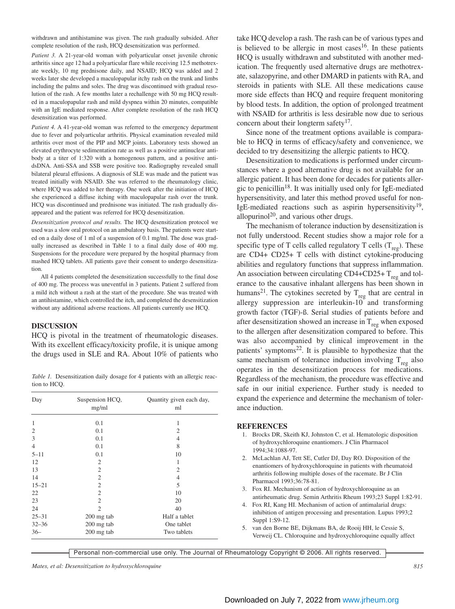withdrawn and antihistamine was given. The rash gradually subsided. After complete resolution of the rash, HCQ desensitization was performed.

*Patient 3.* A 21-year-old woman with polyarticular onset juvenile chronic arthritis since age 12 had a polyarticular flare while receiving 12.5 methotrexate weekly, 10 mg prednisone daily, and NSAID; HCQ was added and 2 weeks later she developed a maculopapular itchy rash on the trunk and limbs including the palms and soles. The drug was discontinued with gradual resolution of the rash. A few months later a rechallenge with 50 mg HCQ resulted in a maculopapular rash and mild dyspnea within 20 minutes, compatible with an IgE mediated response. After complete resolution of the rash HCQ desensitization was performed.

*Patient 4.* A 41-year-old woman was referred to the emergency department due to fever and polyarticular arthritis. Physical examination revealed mild arthritis over most of the PIP and MCP joints. Laboratory tests showed an elevated erythrocyte sedimentation rate as well as a positive antinuclear antibody at a titer of 1:320 with a homogenous pattern, and a positive antidsDNA. Anti-SSA and SSB were positive too. Radiography revealed small bilateral pleural effusions. A diagnosis of SLE was made and the patient was treated initially with NSAID. She was referred to the rheumatology clinic, where HCQ was added to her therapy. One week after the initiation of HCQ she experienced a diffuse itching with maculopapular rash over the trunk. HCQ was discontinued and prednisone was initiated. The rash gradually disappeared and the patient was referred for HCQ desensitization.

*Desensitization protocol and results.* The HCQ desensitization protocol we used was a slow oral protocol on an ambulatory basis. The patients were started on a daily dose of 1 ml of a suspension of 0.1 mg/ml. The dose was gradually increased as described in Table 1 to a final daily dose of 400 mg. Suspensions for the procedure were prepared by the hospital pharmacy from mashed HCQ tablets. All patients gave their consent to undergo desensitization.

All 4 patients completed the desensitization successfully to the final dose of 400 mg. The process was uneventful in 3 patients. Patient 2 suffered from a mild itch without a rash at the start of the procedure. She was treated with an antihistamine, which controlled the itch, and completed the desensitization without any additional adverse reactions. All patients currently use HCQ.

## **DISCUSSION**

HCQ is pivotal in the treatment of rheumatologic diseases. With its excellent efficacy/toxicity profile, it is unique among the drugs used in SLE and RA. About 10% of patients who

*Table 1.* Desensitization daily dosage for 4 patients with an allergic reaction to HCQ.

| Day            | Suspension HCQ,<br>mg/ml | Quantity given each day,<br>ml |
|----------------|--------------------------|--------------------------------|
| 1              | 0.1                      | 1                              |
| $\overline{2}$ | 0.1                      | 2                              |
| 3              | 0.1                      | 4                              |
| $\overline{4}$ | 0.1                      | 8                              |
| $5 - 11$       | 0.1                      | 10                             |
| 12             | 2                        | 1                              |
| 13             | $\mathfrak{2}$           | $\overline{2}$                 |
| 14             | $\overline{2}$           | $\overline{4}$                 |
| $15 - 21$      | $\overline{2}$           | 5                              |
| 22             | $\overline{2}$           | 10                             |
| 23             | $\overline{2}$           | 20                             |
| 24             | $\overline{2}$           | 40                             |
| $25 - 31$      | 200 mg tab               | Half a tablet                  |
| $32 - 36$      | 200 mg tab               | One tablet                     |
| $36-$          | 200 mg tab               | Two tablets                    |

take HCQ develop a rash. The rash can be of various types and is believed to be allergic in most cases<sup>16</sup>. In these patients HCQ is usually withdrawn and substituted with another medication. The frequently used alternative drugs are methotrexate, salazopyrine, and other DMARD in patients with RA, and steroids in patients with SLE. All these medications cause more side effects than HCQ and require frequent monitoring by blood tests. In addition, the option of prolonged treatment with NSAID for arthritis is less desirable now due to serious concern about their longterm safety $17$ .

Since none of the treatment options available is comparable to HCQ in terms of efficacy/safety and convenience, we decided to try desensitizing the allergic patients to HCQ.

Desensitization to medications is performed under circumstances where a good alternative drug is not available for an allergic patient. It has been done for decades for patients allergic to penicillin<sup>18</sup>. It was initially used only for IgE-mediated hypersensitivity, and later this method proved useful for non-IgE-mediated reactions such as aspirin hypersensitivity<sup>19</sup>, allopurinol<sup>20</sup>, and various other drugs.

The mechanism of tolerance induction by desensitization is not fully understood. Recent studies show a major role for a specific type of T cells called regulatory T cells  $(T_{res})$ . These are CD4+ CD25+ T cells with distinct cytokine-producing abilities and regulatory functions that suppress inflammation. An association between circulating CD4+CD25+  $T_{res}$  and tolerance to the causative inhalant allergens has been shown in humans<sup>21</sup>. The cytokines secreted by  $T_{reg}$  that are central in allergy suppression are interleukin-10 and transforming growth factor (TGF)-ß. Serial studies of patients before and after desensitization showed an increase in  $T_{\text{reg}}$  when exposed to the allergen after desensitization compared to before. This was also accompanied by clinical improvement in the patients' symptoms<sup>22</sup>. It is plausible to hypothesize that the same mechanism of tolerance induction involving  $T_{reg}$  also operates in the desensitization process for medications. Regardless of the mechanism, the procedure was effective and safe in our initial experience. Further study is needed to expand the experience and determine the mechanism of tolerance induction.

## **REFERENCES**

- 1. Brocks DR, Skeith KJ, Johnston C, et al. Hematologic disposition of hydroxychloroquine enantiomers. J Clin Pharmacol 1994;34:1088-97.
- 2. McLachlan AJ, Tett SE, Cutler DJ, Day RO. Disposition of the enantiomers of hydroxychloroquine in patients with rheumatoid arthritis following multiple doses of the racemate. Br J Clin Pharmacol 1993;36:78-81.
- 3. Fox RI. Mechanism of action of hydroxychloroquine as an antirheumatic drug. Semin Arthritis Rheum 1993;23 Suppl 1:82-91.
- 4. Fox RI, Kang HI. Mechanism of action of antimalarial drugs: inhibition of antigen processing and presentation. Lupus 1993;2 Suppl 1:S9-12.
- 5. van den Borne BE, Dijkmans BA, de Rooij HH, le Cessie S, Verweij CL. Chloroquine and hydroxychloroquine equally affect

Personal non-commercial use only. The Journal of Rheumatology Copyright © 2006. All rights reserved.